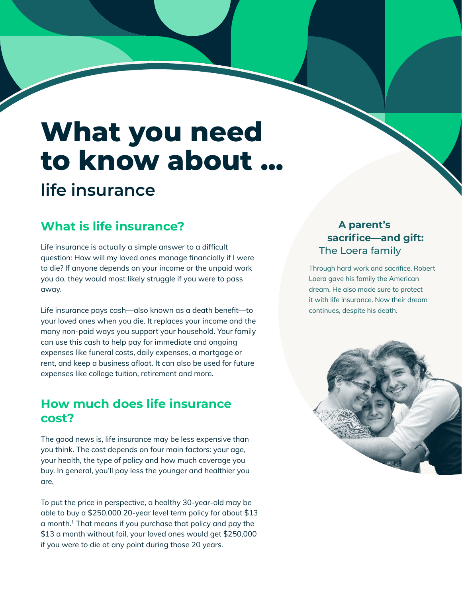# **What you need to know about ... life insurance**

## **What is life insurance?**

Life insurance is actually a simple answer to a difficult **Example 2008** The Loera family question: How will my loved ones manage financially if I were to die? If anyone depends on your income or the unpaid work you do, they would most likely struggle if you were to pass away.

Life insurance pays cash—also known as a death benefit—to your loved ones when you die. It replaces your income and the many non-paid ways you support your household. Your family can use this cash to help pay for immediate and ongoing expenses like funeral costs, daily expenses, a mortgage or rent, and keep a business afloat. It can also be used for future expenses like college tuition, retirement and more.

## **How much does life insurance cost?**

The good news is, life insurance may be less expensive than you think. The cost depends on four main factors: your age, your health, the type of policy and how much coverage you buy. In general, you'll pay less the younger and healthier you are.

To put the price in perspective, a healthy 30-year-old may be able to buy a \$250,000 20-year level term policy for about \$13 a month.1 That means if you purchase that policy and pay the \$13 a month without fail, your loved ones would get \$250,000 if you were to die at any point during those 20 years.

# **A parent's sacrifice—and gift:**

Through hard work and sacrifice, Robert Loera gave his family the American dream. He also made sure to protect it with life insurance. Now their dream continues, despite his death.